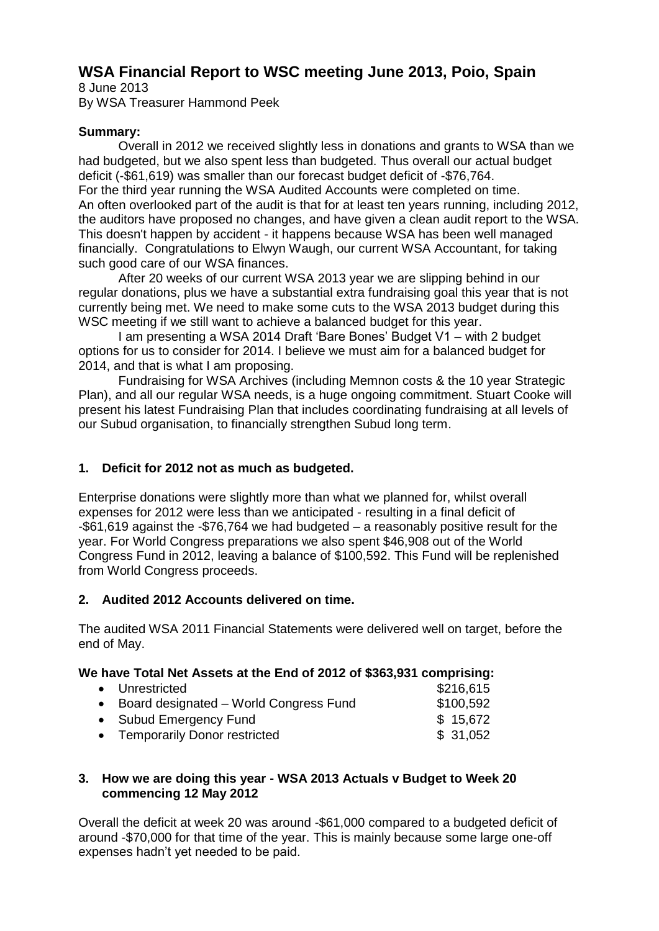# **WSA Financial Report to WSC meeting June 2013, Poio, Spain**

8 June 2013 By WSA Treasurer Hammond Peek

## **Summary:**

Overall in 2012 we received slightly less in donations and grants to WSA than we had budgeted, but we also spent less than budgeted. Thus overall our actual budget deficit (-\$61,619) was smaller than our forecast budget deficit of -\$76,764. For the third year running the WSA Audited Accounts were completed on time. An often overlooked part of the audit is that for at least ten years running, including 2012, the auditors have proposed no changes, and have given a clean audit report to the WSA. This doesn't happen by accident - it happens because WSA has been well managed financially. Congratulations to Elwyn Waugh, our current WSA Accountant, for taking such good care of our WSA finances.

After 20 weeks of our current WSA 2013 year we are slipping behind in our regular donations, plus we have a substantial extra fundraising goal this year that is not currently being met. We need to make some cuts to the WSA 2013 budget during this WSC meeting if we still want to achieve a balanced budget for this year.

I am presenting a WSA 2014 Draft 'Bare Bones' Budget V1 – with 2 budget options for us to consider for 2014. I believe we must aim for a balanced budget for 2014, and that is what I am proposing.

Fundraising for WSA Archives (including Memnon costs & the 10 year Strategic Plan), and all our regular WSA needs, is a huge ongoing commitment. Stuart Cooke will present his latest Fundraising Plan that includes coordinating fundraising at all levels of our Subud organisation, to financially strengthen Subud long term.

## **1. Deficit for 2012 not as much as budgeted.**

Enterprise donations were slightly more than what we planned for, whilst overall expenses for 2012 were less than we anticipated - resulting in a final deficit of -\$61,619 against the -\$76,764 we had budgeted – a reasonably positive result for the year. For World Congress preparations we also spent \$46,908 out of the World Congress Fund in 2012, leaving a balance of \$100,592. This Fund will be replenished from World Congress proceeds.

## **2. Audited 2012 Accounts delivered on time.**

The audited WSA 2011 Financial Statements were delivered well on target, before the end of May.

## **We have Total Net Assets at the End of 2012 of \$363,931 comprising:**

| • Unrestricted                           | \$216,615 |
|------------------------------------------|-----------|
| • Board designated - World Congress Fund | \$100,592 |
| • Subud Emergency Fund                   | \$15,672  |
| • Temporarily Donor restricted           | \$31,052  |

#### **3. How we are doing this year - WSA 2013 Actuals v Budget to Week 20 commencing 12 May 2012**

Overall the deficit at week 20 was around -\$61,000 compared to a budgeted deficit of around -\$70,000 for that time of the year. This is mainly because some large one-off expenses hadn't yet needed to be paid.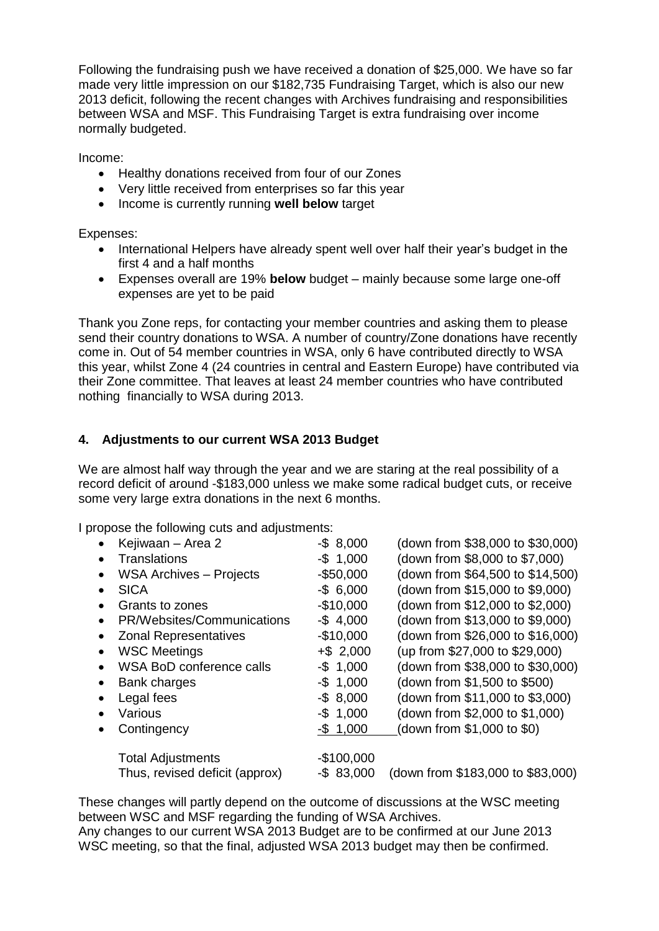Following the fundraising push we have received a donation of \$25,000. We have so far made very little impression on our \$182,735 Fundraising Target, which is also our new 2013 deficit, following the recent changes with Archives fundraising and responsibilities between WSA and MSF. This Fundraising Target is extra fundraising over income normally budgeted.

Income:

- Healthy donations received from four of our Zones
- Very little received from enterprises so far this year
- Income is currently running **well below** target

Expenses:

- International Helpers have already spent well over half their year's budget in the first 4 and a half months
- Expenses overall are 19% **below** budget mainly because some large one-off expenses are yet to be paid

Thank you Zone reps, for contacting your member countries and asking them to please send their country donations to WSA. A number of country/Zone donations have recently come in. Out of 54 member countries in WSA, only 6 have contributed directly to WSA this year, whilst Zone 4 (24 countries in central and Eastern Europe) have contributed via their Zone committee. That leaves at least 24 member countries who have contributed nothing financially to WSA during 2013.

# **4. Adjustments to our current WSA 2013 Budget**

We are almost half way through the year and we are staring at the real possibility of a record deficit of around -\$183,000 unless we make some radical budget cuts, or receive some very large extra donations in the next 6 months.

I propose the following cuts and adjustments:

|           | Kejiwaan – Area 2               | $-$ \$ 8,000 | (down from \$38,000 to \$30,000)  |
|-----------|---------------------------------|--------------|-----------------------------------|
|           | <b>Translations</b>             | $-$ \$ 1,000 | (down from \$8,000 to \$7,000)    |
|           | <b>WSA Archives - Projects</b>  | $-$50,000$   | (down from \$64,500 to \$14,500)  |
|           | <b>SICA</b>                     | $-$ \$ 6,000 | (down from \$15,000 to \$9,000)   |
|           | Grants to zones                 | $-$10,000$   | (down from \$12,000 to \$2,000)   |
|           | PR/Websites/Communications      | $-$4,000$    | (down from \$13,000 to \$9,000)   |
| $\bullet$ | <b>Zonal Representatives</b>    | $-$10,000$   | (down from \$26,000 to \$16,000)  |
|           | <b>WSC Meetings</b>             | $+$ \$ 2,000 | (up from \$27,000 to \$29,000)    |
|           | <b>WSA BoD conference calls</b> | $-$ \$ 1,000 | (down from \$38,000 to \$30,000)  |
| $\bullet$ | Bank charges                    | $-$ \$ 1,000 | (down from \$1,500 to \$500)      |
|           | Legal fees                      | $-$ \$ 8,000 | (down from \$11,000 to \$3,000)   |
|           | Various                         | $-$ \$ 1,000 | (down from \$2,000 to \$1,000)    |
|           | Contingency                     | $-$ \$ 1,000 | (down from \$1,000 to \$0)        |
|           |                                 |              |                                   |
|           | <b>Total Adjustments</b>        | $-$100,000$  |                                   |
|           | Thus, revised deficit (approx)  | $-$ \$83,000 | (down from \$183,000 to \$83,000) |

These changes will partly depend on the outcome of discussions at the WSC meeting between WSC and MSF regarding the funding of WSA Archives.

Any changes to our current WSA 2013 Budget are to be confirmed at our June 2013 WSC meeting, so that the final, adjusted WSA 2013 budget may then be confirmed.